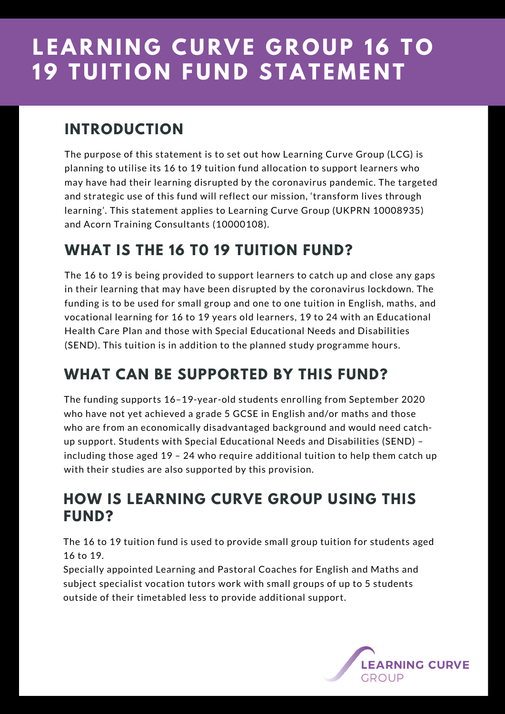# **LEARNING CURVE GROUP 16 TO 19 TUITION FUND STATEMENT**

#### **INTRODUCTION**

The purpose of this statement is to set out how Learning Curve Group (LCG) is planning to utilise its 16 to 19 tuition fund allocation to support learners who may have had their learning disrupted by the coronavirus pandemic. The targeted and strategic use of this fund will reflect our mission, 'transform lives through learning'. This statement applies to Learning Curve Group (UKPRN 10008935) and Acorn Training Consultants (10000108).

### **WHAT IS THE 16 T0 19 TUITION FUND?**

The 16 to 19 is being provided to support learners to catch up and close any gaps in their learning that may have been disrupted by the coronavirus lockdown. The funding is to be used for small group and one to one tuition in English, maths, and vocational learning for 16 to 19 years old learners, 19 to 24 with an Educational Health Care Plan and those with Special Educational Needs and Disabilities (SEND). This tuition is in addition to the planned study programme hours.

### **WHAT CAN BE SUPPORTED BY THIS FUND?**

The funding supports 16–19-year-old students enrolling from September 2020 who have not yet achieved a grade 5 GCSE in English and/or maths and those who are from an economically disadvantaged background and would need catchup support. Students with Special Educational Needs and Disabilities (SEND) – including those aged 19 – 24 who require additional tuition to help them catch up with their studies are also supported by this provision.

#### **HOW IS LEARNING CURVE GROUP USING THIS FUND?**

The 16 to 19 tuition fund is used to provide small group tuition for students aged 16 to 19.

Specially appointed Learning and Pastoral Coaches for English and Maths and subject specialist vocation tutors work with small groups of up to 5 students outside of their timetabled less to provide additional support.